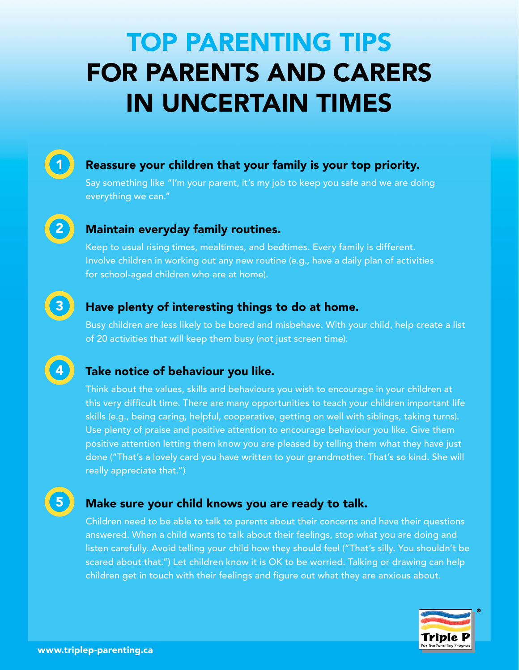# TOP PARENTING TIPS FOR PARENTS AND CARERS IN UNCERTAIN TIMES

#### Reassure your children that your family is your top priority.

Say something like "I'm your parent, it's my job to keep you safe and we are doing everything we can."

2

1

4

3

#### Maintain everyday family routines.

Keep to usual rising times, mealtimes, and bedtimes. Every family is different. Involve children in working out any new routine (e.g., have a daily plan of activities for school-aged children who are at home).

#### Have plenty of interesting things to do at home.

Busy children are less likely to be bored and misbehave. With your child, help create a list of 20 activities that will keep them busy (not just screen time).

## Take notice of behaviour you like.

Think about the values, skills and behaviours you wish to encourage in your children at this very difficult time. There are many opportunities to teach your children important life skills (e.g., being caring, helpful, cooperative, getting on well with siblings, taking turns). Use plenty of praise and positive attention to encourage behaviour you like. Give them positive attention letting them know you are pleased by telling them what they have just done ("That's a lovely card you have written to your grandmother. That's so kind. She will really appreciate that.")

5

#### Make sure your child knows you are ready to talk.

Children need to be able to talk to parents about their concerns and have their questions answered. When a child wants to talk about their feelings, stop what you are doing and listen carefully. Avoid telling your child how they should feel ("That's silly. You shouldn't be scared about that.") Let children know it is OK to be worried. Talking or drawing can help children get in touch with their feelings and figure out what they are anxious about.